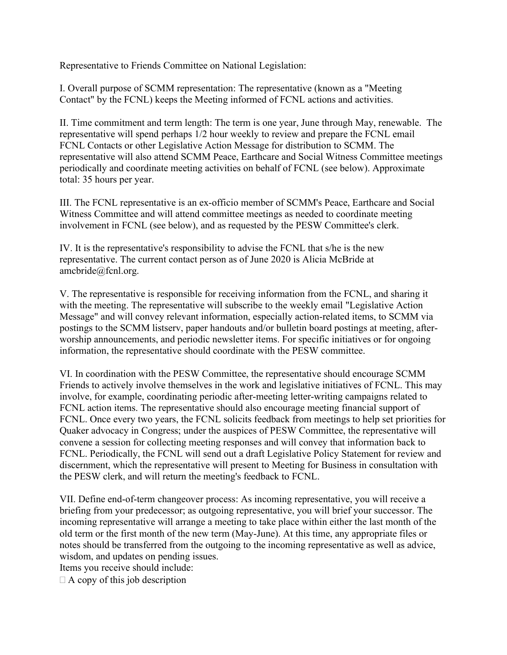Representative to Friends Committee on National Legislation:

I. Overall purpose of SCMM representation: The representative (known as a "Meeting Contact" by the FCNL) keeps the Meeting informed of FCNL actions and activities.

II. Time commitment and term length: The term is one year, June through May, renewable. The representative will spend perhaps 1/2 hour weekly to review and prepare the FCNL email FCNL Contacts or other Legislative Action Message for distribution to SCMM. The representative will also attend SCMM Peace, Earthcare and Social Witness Committee meetings periodically and coordinate meeting activities on behalf of FCNL (see below). Approximate total: 35 hours per year.

III. The FCNL representative is an ex-officio member of SCMM's Peace, Earthcare and Social Witness Committee and will attend committee meetings as needed to coordinate meeting involvement in FCNL (see below), and as requested by the PESW Committee's clerk.

IV. It is the representative's responsibility to advise the FCNL that s/he is the new representative. The current contact person as of June 2020 is Alicia McBride at amcbride@fcnl.org.

V. The representative is responsible for receiving information from the FCNL, and sharing it with the meeting. The representative will subscribe to the weekly email "Legislative Action Message" and will convey relevant information, especially action-related items, to SCMM via postings to the SCMM listserv, paper handouts and/or bulletin board postings at meeting, afterworship announcements, and periodic newsletter items. For specific initiatives or for ongoing information, the representative should coordinate with the PESW committee.

VI. In coordination with the PESW Committee, the representative should encourage SCMM Friends to actively involve themselves in the work and legislative initiatives of FCNL. This may involve, for example, coordinating periodic after-meeting letter-writing campaigns related to FCNL action items. The representative should also encourage meeting financial support of FCNL. Once every two years, the FCNL solicits feedback from meetings to help set priorities for Quaker advocacy in Congress; under the auspices of PESW Committee, the representative will convene a session for collecting meeting responses and will convey that information back to FCNL. Periodically, the FCNL will send out a draft Legislative Policy Statement for review and discernment, which the representative will present to Meeting for Business in consultation with the PESW clerk, and will return the meeting's feedback to FCNL.

VII. Define end-of-term changeover process: As incoming representative, you will receive a briefing from your predecessor; as outgoing representative, you will brief your successor. The incoming representative will arrange a meeting to take place within either the last month of the old term or the first month of the new term (May-June). At this time, any appropriate files or notes should be transferred from the outgoing to the incoming representative as well as advice, wisdom, and updates on pending issues.

Items you receive should include:

 $\Box$  A copy of this job description